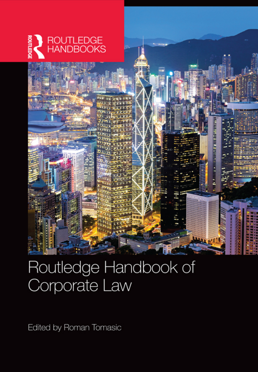

### Routledge Handbook of Corporate Law

Edited by Roman Tomasic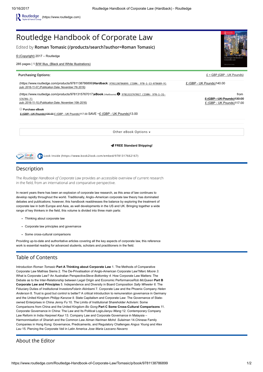

[\(https://www.routledge.com/products/9781315767017\)](https://www.routledge.com/products/9781315767017)eBook (VitalSource) <sup>3</sup>: 9781315767017 (ISBN: 978-1-31-576701-7)

pub: 2016-11-10 (Publication Date: November 10th 2016)

#### Purchase eBook

© (Copyright) 2017 – Routledge

£ (GBP - UK Pounds)130.00 £ (GBP - UK Pounds)117.00 SAVE ~£ (GBP - UK Pounds)13.00

Other eBook Options .

### FREE Standard Shipping!

Look Inside [\(https://www.book2look.com/embed/9781317662167\)](https://www.book2look.com/embed/9781317662167)

### Description

The Routledge Handbook of Corporate Law provides an accessible overview of current research in the field, from an international and comparative perspective.

In recent years there has been an explosion of corporate law research, as this area of law continues to develop rapidly throughout the world. Traditionally, Anglo–American corporate law theory has dominated debates and publications; however, this handbook readdresses the balance by exploring the treatment of corporate law in both Europe and Asia, as well developments in the US and UK. Bringing together a wide range of key thinkers in the field, this volume is divided into three main parts:

- Thinking about corporate law
- Corporate law principles and governance
- Some cross-cultural comparisons

Providing up-to-date and authoritative articles covering all the key aspects of corporate law, this reference work is essential reading for advanced students, scholars and practitioners in the field.

# Table of Contents

Introduction Roman Tomasic Part A Thinking about Corporate Law 1. The Methods of Comparative Corporate Law Mathias Siems 2. The De-Privatisation of Anglo-American Corporate Law?Marc Moore 3. What is Corporate Law? An Australian PerspectiveSteve Bottomley 4. How Corporate Law Matters: The Debate as to the Inter-Relationship between Legal Origin and Economic PerformanceRob McQueen Part B Corporate Law and Principles 5. Independence and Diversity in Board Composition Sally Wheeler 6. The Fiduciary Duties of Institutional Investors Folarin Akinbami 7. Corporate Law and the Phoenix Company Helen Anderson 8. Trust is good but control is better? A critical introduction to remuneration governance in Germany and the United Kingdom Philipp Kanzow 9. State Capitalism and Corporate Law: The Governance of Stateowned Enterprises in China Jenny Fu 10. The Limits of Institutional Shareholder Activism: Some Comparisons from China and the United Kingdom Bo Gong Part C Some Cross-Cultural Comparisons 11. Corporate Governance in China: The Law and Its Political LogicJianyu Wang 12. Contemporary Company Law Reform in India Harpreet Kaur 13. Company Law and Corporate Governance in Malaysia -Harmonmisation of Shariah and the Common Law Aiman Nariman Mohd. Sulaiman 14.Chinese Family Companies in Hong Kong: Governance, Predicaments, and Regulatory Challenges Angus Young and Alex Lau 15. Piercing the Corporate Veil in Latin America Jose Maria Lezcano Navarro

# About the Editor

from

£ (GBP - UK Pounds)130.00 £ (GBP - UK Pounds)117.00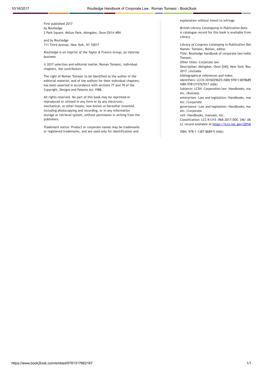First published 2017 by Routledge 2 Park Square, Milton Park, Abingdon, Oxon OX14 4RN

and by Routledge 711 Third Avenue, New York, NY 10017

Routledge is an imprint of the Taylor & Francis Group, an informa business

© 2017 selection and editorial matter, Roman Tomasic; individual chapters, the contributors

The right of Roman Tomasic to be identified as the author of the editorial material, and of the authors for their individual chapters, has been asserted in accordance with sections 77 and 78 of the Copyright, Designs and Patents Act 1988.

All rights reserved. No part of this book may be reprinted or reproduced or utilised in any form or by any electronic, mechanical, or other means, now known or hereafter invented, including photocopying and recording, or in any information storage or retrieval system, without permission in writing from the publishers.

Trademark notice: Product or corporate names may be trademarks or registered trademarks, and are used only for identification and

explanation without intent to infringe.

British Library Cataloguing in Publication Data A catalogue record for this book is available from Library

Library of Congress Cataloging in Publication Dat Names: Tomasic, Roman, editor.

Title: Routledge handbook of corporate law/edite Tomasic.

Other titles: Corporate law Description: Abingdon, Oxon [UK]; New York: Rou 2017.|Includes

bibliographical references and index.

Identifiers: LCCN 2016029625|ISBN 978113878689 ISBN 9781315767017 (ebk)

Subjects: LCSH: Corporation law—Handbooks, ma etc.|Business

enterprises—Law and legislation—Handbooks, man etc.|Corporate

governance—Law and legislation—Handbooks, ma etc.|Corporate

veil—Handbooks, manuals, etc.

Classification: LCC K1315 .R68 2017|DDC 346/.06 LC record available at [https://lccn.loc.gov/20160](https://lccn.loc.gov/2016029625)

ISBN: 978-1-1387-8689-9 (hbk)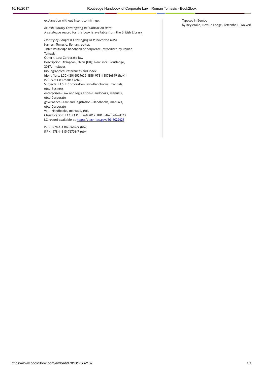explanation without intent to infringe.

British Library Cataloguing in Publication Data A catalogue record for this book is available from the British Library

Library of Congress Cataloging in Publication Data Names: Tomasic, Roman, editor. Title: Routledge handbook of corporate law/edited by Roman Tomasic. Other titles: Corporate law Description: Abingdon, Oxon [UK]; New York: Routledge, 2017.|Includes bibliographical references and index. Identifiers: LCCN 2016029625|ISBN 9781138786899 (hbk)| ISBN 9781315767017 (ebk) Subjects: LCSH: Corporation law—Handbooks, manuals, etc.|Business enterprises—Law and legislation—Handbooks, manuals, etc.|Corporate governance—Law and legislation—Handbooks, manuals, etc.|Corporate veil—Handbooks, manuals, etc. Classification: LCC K1315 .R68 2017|DDC 346/.066—dc23 LC record available at <https://lccn.loc.gov/2016029625>

ISBN: 978-1-1387-8689-9 (hbk) ISBN: 978-1-315-76701-7 (ebk) Typeset in Bembo by Keystroke, Neville Lodge, Tettenhall, Wolverl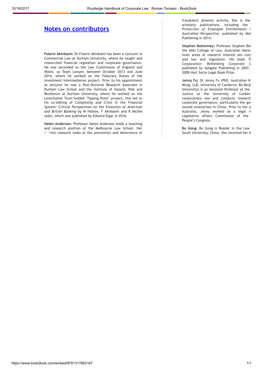## Notes on [contributors](https://c95871.ssl.cf3.rackcdn.com/MhpDJ9ApUg_assets/epub/MhpDJ9ApUg/OEBPS/xhtml/content.xhtml#bck_fm-Ch01)

Folarin Akinbami: Dr Folarin Akinbami has been a Lecturer in Commercial Law at Durham University, where he taught and researched financial regulation and corporate governance. He was seconded to the Law Commission of England and Wales, as Team Lawyer, between October 2013 and June 2014, where he worked on the Fiduciary Duties of the Investment Intermediaries project. Prior to his appointment as lecturer he was a Post-Doctoral Research Associate in Durham Law School and the Institute of Hazard, Risk and Resilience at Durham University, where he worked on the Leverhulme Trust-funded 'Tipping Point' project; this led to his co-editing of Complexity and Crisis in the Financial System: Critical Perspectives on the Evolution of American and British Banking by M Hollow, F Akinbami and R Michie (eds), which was published by Edward Elgar in 2016.

Helen Anderson: Professor Helen Anderson holds a teaching and research position at the Melbourne Law School. Her  $\sim$  rent research looks at the prevention and deterrence of fraudulent phoenix activity. She is the scholarly publications, including the Protection of Employee Entitlements i Australian Perspective, published by Mel Publishing in 2014.

Stephen Bottomley: Professor Stephen Bot the ANU College of Law, Australian Natio main areas of research interest are corp and law and regulation. His book Ti Corporation: Rethinking Corporate G published by Ashgate Publishing in 2007, 2008 Hart Socio-Legal Book Prize.

Jenny Fu: Dr Jenny Fu (PhD, Australian N MLeg, LLB, University of Canberra; BA Beiji University) is an Assistant Professor at the Justice at the University of Canber corporations law and conducts research corporate governance, particularly the gov owned enterprises in China. Prior to her a Australia, Jenny worked as a legal re Legislative Affairs Commission of the People's Congress.

Bo Gong: Bo Gong is Reader in the Law South University, China. She received her M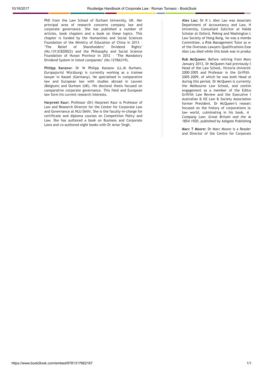PhD from the Law School of Durham University, UK. Her principal area of research concerns company law and corporate governance. She has published a number of articles, book chapters and a book on these topics. This chapter is funded by the Humanities and Social Sciences Foundation of the Ministry of Education of China in 2013 – 'The Relief of Shareholders' Dividend Rights' (No.13YJC820022) and the Philosophy and Social Science Foundation of Hunan Province in 2012 – 'The Mandatory Dividend System in listed companies' (No.12YBA319).

Philipp Kanzow: Dr W Philipp Kanzow (LL.M Durham, Europajurist Würzburg) is currently working as a trainee lawyer in Kassel (Germany). He specialised in comparative law and European law with studies abroad in Leuven (Belgium) and Durham (UK). His doctoral thesis focused on comparative corporate governance. This field and European law form his current research interests.

Harpreet Kaur: Professor (Dr) Harpreet Kaur is Professor of Law and Research Director for the Center for Corporate Law and Governance at NLU Delhi. She is the faculty-in-charge for certificate and diploma courses on Competition Policy and Law. She has authored a book on Business and Corporate Laws and co-authored eight books with Dr Avtar Singh.

Alex Lau: Dr K L Alex Lau was Associate Department of Accountancy and Law, H University, Consultant Solicitor at Halda Scholar at Oxford, Peking and Washington L Law Society of Hong Kong, he was a membe Committee, a Risk Management Tutor as w of the Overseas Lawyers Qualifications Exam Alex Lau died while this book was in produc

Rob McQueen: Before retiring from Mona January 2013, Dr McQueen had previously b Head of the Law School, Victoria Universit 2000–2005 and Professor in the Griffith 2005–2009, of which he was both Head of during this period. Dr McQueen is currently the Melbourne Law School, and continu engagement as a member of the Editor Griffith Law Review and the Executive C Australian & NZ Law & Society Association former President. Dr McQueen's researc focused on the history of corporations la law world, culminating in his book, A Company Law: Great Britain and the Au 1854–1920, published by Ashgate Publishing

Marc T Moore: Dr Marc Moore is a Reader and Director of the Centre for Corporate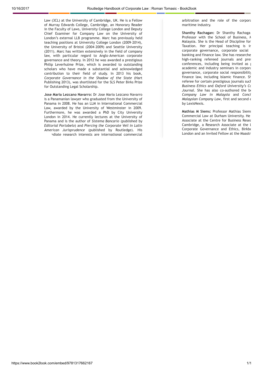Law (3CL) at the University of Cambridge, UK. He is a Fellow of Murray Edwards College, Cambridge, an Honorary Reader in the Faculty of Laws, University College London and Deputy Chief Examiner for Company Law on the University of London's external LLB programme. Marc has previously held teaching positions at University College London (2009–2014), the University of Bristol (2004–2009) and Seattle University (2011). Marc has written extensively in the field of company law, with particular regard to Anglo–American corporate governance and theory. In 2012 he was awarded a prestigious Philip Leverhulme Prize, which is awarded to outstanding scholars who have made a substantial and acknowledged contribution to their field of study. In 2013 his book, Corporate Governance in the Shadow of the State (Hart Publishing 2013), was shortlisted for the SLS Peter Birks Prize for Outstanding Legal Scholarship.

Jose Maria Lezcano Navarro: Dr Jose Maria Lezcano Navarro is a Panamanian lawyer who graduated from the University of Panama in 2008. He has an LLM in International Commercial Law, awarded by the University of Westminster in 2009. Furthermore, he was awarded a PhD by City University London in 2014. He currently lectures at the University of Panama and is the author of Sistema Bancario (published by Editorial Portobelo) and Piercing the Corporate Veil in Latin American Jurisprudence (published by Routledge). His ediate research interests are international commercial arbitration and the role of the corpora maritime industry.

Shanthy Rachagan: Dr Shanthy Rachaga Professor with the School of Business, A Malaysia. She is the Head of Discipline for Taxation. Her principal teaching is in corporate governance, corporate social banking and finance law. She has researche high-ranking refereed journals and pres  $conferences,$  including being invited as  $\vert$ academic and industry seminars in corpora governance, corporate social responsibility finance law, including Islamic finance. Sh referee for certain prestigious journals such Business Ethics and Oxford University's Co Journal. She has also co-authored the bo Company Law in Malaysia and Conci Malaysian Company Law, first and second e by LexisNexis.

Mathias M Siems: Professor Mathias Siems Commercial Law at Durham University. He Associate at the Centre for Business Resea Cambridge, a Research Associate at the L Corporate Governance and Ethics, Birkbe London and an Invited Fellow at the Maastr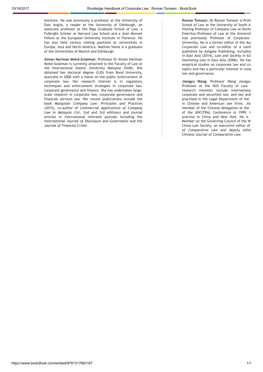Institute. He was previously a professor at the University of East Anglia, a reader at the University of Edinburgh, an associate professor at the Riga Graduate School of Law, a Fulbright Scholar at Harvard Law School and a Jean Monnet Fellow at the European University Institute in Florence. He has also held various visiting positions at universities in Europe, Asia and North America. Mathias Siems is a graduate of the Universities of Munich and Edinburgh.

Aiman Nariman Mohd-Sulaiman: Professor Dr Aiman Nariman Mohd-Sulaiman is currently attached to the Faculty of Law at the International Islamic University Malaysia (IIUM). She obtained her doctoral degree (SJD) from Bond University, Australia in 2000 with a thesis on the public enforcement of corporate law. Her research interest is in regulatory techniques and enforcement strategies in corporate law, corporate governance and finance. She has undertaken largescale research in corporate law, corporate governance and financial services law. Her recent publications include the book Malaysian Company Law: Principles and Practices (2015), co-author of Commercial Applications of Company Law in Malaysia (1st, 2nd and 3rd editions) and journal articles in international refereed journals including the International Journal of Disclosure and Governance and the Journal of Financial Crime.

Roman Tomasic: Dr Roman Tomasic is Profe School of Law at the University of South A Visiting Professor of Company Law at Durha Emeritus Professor of Law at the Universit was previously Professor of Corporate University. He is a former editor of the Aust Corporate Law and co-editor of a numl published by Ashgate Publishing, including in East Asia (2014), Law and Society in Ea Insolvency Law in East Asia (2006). He has empirical studies on corporate law and co topics and has a particular interest in comp law and governance.

Jiangyu Wang: Professor Wang Jiangyu Professor at the NUS Faculty of Law. research interests include internationa corporate and securities law, and law and practised in the Legal Department of the in Chinese and American law firms. Jia member of the Chinese delegation at the of the UNCITRAL Conference in 1999. H practise in China and New York. He is Member on the Governing Council of the W China Law Society, an executive editor of of Comparative Law and deputy edito Chinese Journal of Comparative Law.